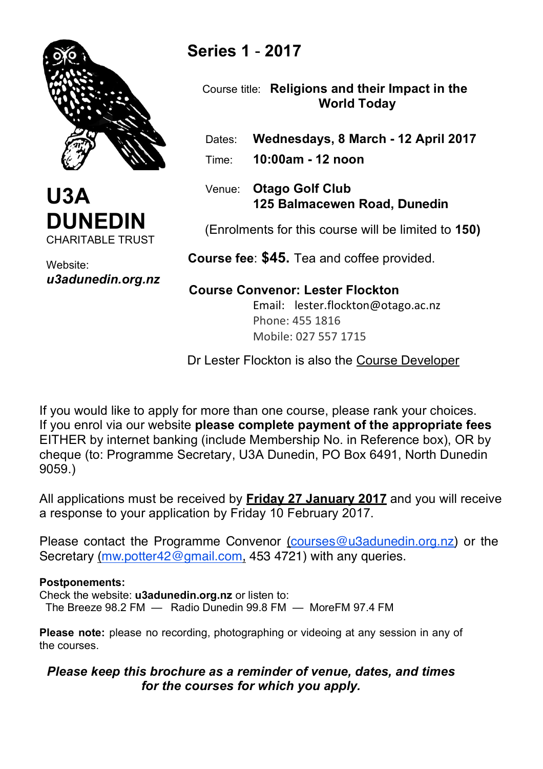



Website: *u3adunedin.org.nz*

# **Series 1** - **2017**

 Course title: **Religions and their Impact in the World Today**

- Dates: **Wednesdays, 8 March - 12 April 2017**
- Time: **10:00am - 12 noon**
- Venue: **Otago Golf Club 125 Balmacewen Road, Dunedin**

(Enrolments for this course will be limited to **150)**

 **Course fee**: **\$45.** Tea and coffee provided.

# **Course Convenor: Lester Flockton**

Email: lester.flockton@otago.ac.nz Phone: 455 1816 Mobile: 027 557 1715

Dr Lester Flockton is also the Course Developer

If you would like to apply for more than one course, please rank your choices. If you enrol via our website **please complete payment of the appropriate fees** EITHER by internet banking (include Membership No. in Reference box), OR by cheque (to: Programme Secretary, U3A Dunedin, PO Box 6491, North Dunedin 9059.)

All applications must be received by **Friday 27 January 2017** and you will receive a response to your application by Friday 10 February 2017.

Please contact the Programme Convenor (courses@u3adunedin.org.nz) or the Secretary (mw.potter42@gmail.com, 453 4721) with any queries.

## **Postponements:**

Check the website: **u3adunedin.org.nz** or listen to: The Breeze 98.2 FM — Radio Dunedin 99.8 FM — MoreFM 97.4 FM

**Please note:** please no recording, photographing or videoing at any session in any of the courses.

# *Please keep this brochure as a reminder of venue, dates, and times for the courses for which you apply.*